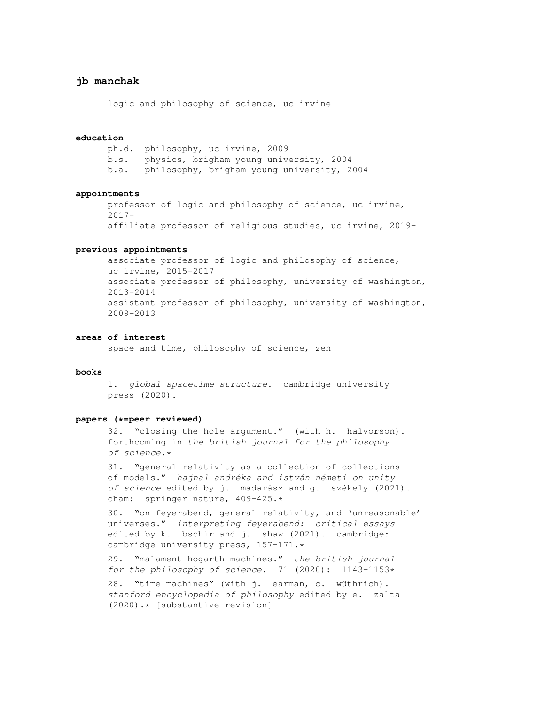logic and philosophy of science, uc irvine

# **education**

ph.d. philosophy, uc irvine, 2009 b.s. physics, brigham young university, 2004 b.a. philosophy, brigham young university, 2004

# **appointments**

professor of logic and philosophy of science, uc irvine, 2017 affiliate professor of religious studies, uc irvine, 2019-

# **previous appointments**

associate professor of logic and philosophy of science, uc irvine, 2015-2017 associate professor of philosophy, university of washington, 2013-2014 assistant professor of philosophy, university of washington, 2009-2013

## **areas of interest**

space and time, philosophy of science, zen

## **books**

1. global spacetime structure. cambridge university press (2020).

#### **papers (\*=peer reviewed)**

32. "closing the hole argument." (with h. halvorson). forthcoming in the british journal for the philosophy of science.\*

31. "general relativity as a collection of collections of models." hajnal andréka and istván németi on unity of science edited by j. madarász and g. székely (2021). cham: springer nature, 409-425.\*

30. "on feyerabend, general relativity, and 'unreasonable' universes." interpreting feyerabend: critical essays edited by k. bschir and j. shaw (2021). cambridge: cambridge university press, 157-171.\*

29. "malament-hogarth machines." the british journal for the philosophy of science.  $71$  (2020): 1143-1153\*

28. "time machines" (with j. earman, c. wüthrich). stanford encyclopedia of philosophy edited by e. zalta (2020).\* [substantive revision]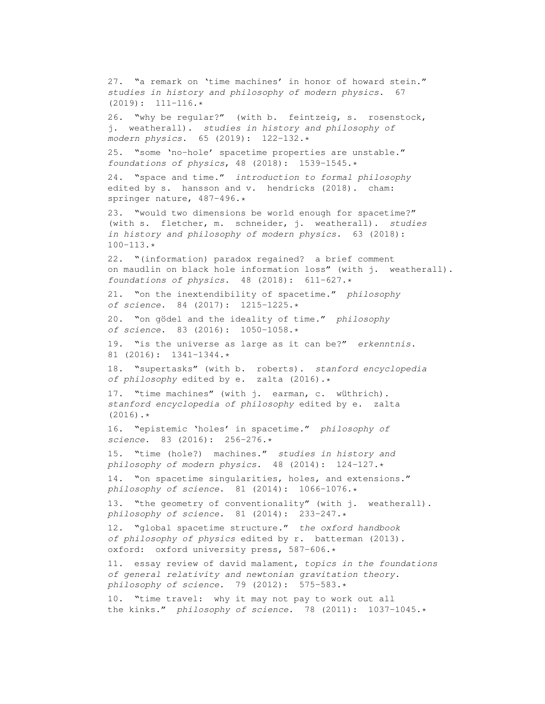27. "a remark on 'time machines' in honor of howard stein." studies in history and philosophy of modern physics. 67  $(2019): 111-116.*$ 26. "why be regular?" (with b. feintzeig, s. rosenstock, j. weatherall). studies in history and philosophy of modern physics. 65 (2019): 122-132.\* 25. "some 'no-hole' spacetime properties are unstable." foundations of physics, 48 (2018): 1539-1545.\* 24. "space and time." introduction to formal philosophy edited by s. hansson and v. hendricks (2018). cham: springer nature, 487-496.\* 23. "would two dimensions be world enough for spacetime?" (with s. fletcher, m. schneider, j. weatherall). studies in history and philosophy of modern physics. 63 (2018):  $100 - 113.$ \* 22. "(information) paradox regained? a brief comment on maudlin on black hole information loss" (with j. weatherall). foundations of physics.  $48$  (2018):  $611-627.*$ 21. "on the inextendibility of spacetime." philosophy of science. 84 (2017): 1215-1225.\* 20. "on gödel and the ideality of time." philosophy of science. 83 (2016): 1050-1058.\* 19. "is the universe as large as it can be?" erkenntnis. 81 (2016): 1341-1344.\* 18. "supertasks" (with b. roberts). stanford encyclopedia of philosophy edited by e. zalta (2016).\* 17. "time machines" (with j. earman, c. wüthrich). stanford encyclopedia of philosophy edited by e. zalta  $(2016)$ .\* 16. "epistemic 'holes' in spacetime." philosophy of science. 83 (2016): 256-276.\* 15. "time (hole?) machines." studies in history and philosophy of modern physics. 48 (2014): 124-127.\* 14. "on spacetime singularities, holes, and extensions." philosophy of science. 81 (2014): 1066-1076.\* 13. "the geometry of conventionality" (with j. weatherall). philosophy of science. 81 (2014): 233-247.\* 12. "global spacetime structure." the oxford handbook of philosophy of physics edited by r. batterman (2013). oxford: oxford university press, 587-606.\* 11. essay review of david malament, topics in the foundations of general relativity and newtonian gravitation theory. philosophy of science. 79 (2012): 575-583.\* 10. "time travel: why it may not pay to work out all the kinks." philosophy of science. 78 (2011):  $1037-1045.*$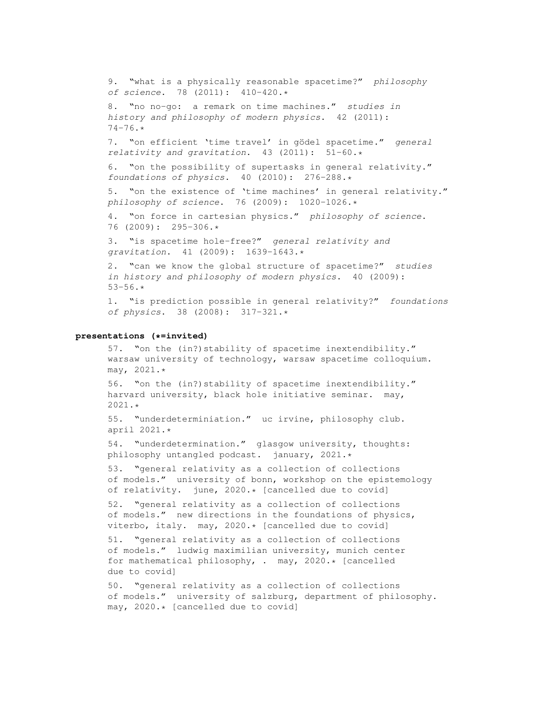9. "what is a physically reasonable spacetime?" philosophy of science. 78 (2011): 410-420.\* 8. "no no-go: a remark on time machines." studies in history and philosophy of modern physics. 42 (2011): 74-76.\* 7. "on efficient 'time travel' in gödel spacetime." general relativity and gravitation. 43 (2011): 51-60.\* 6. "on the possibility of supertasks in general relativity." foundations of physics.  $40$  (2010): 276-288.\* 5. "on the existence of 'time machines' in general relativity." philosophy of science. 76 (2009): 1020-1026.\* 4. "on force in cartesian physics." philosophy of science. 76 (2009): 295-306.\* 3. "is spacetime hole-free?" general relativity and gravitation. 41 (2009): 1639-1643.\* 2. "can we know the global structure of spacetime?" studies in history and philosophy of modern physics. 40 (2009):  $53 - 56.$ \* 1. "is prediction possible in general relativity?" foundations of physics. 38 (2008): 317-321.\*

# **presentations (\*=invited)**

57. "on the (in?)stability of spacetime inextendibility." warsaw university of technology, warsaw spacetime colloquium. may, 2021.\*

56. "on the (in?)stability of spacetime inextendibility." harvard university, black hole initiative seminar. may, 2021.\*

55. "underdeterminiation." uc irvine, philosophy club. april 2021.\*

54. "underdetermination." glasgow university, thoughts: philosophy untangled podcast. january, 2021.\*

53. "general relativity as a collection of collections of models." university of bonn, workshop on the epistemology of relativity. june, 2020.\* [cancelled due to covid]

52. "general relativity as a collection of collections of models." new directions in the foundations of physics, viterbo, italy. may, 2020.\* [cancelled due to covid]

51. "general relativity as a collection of collections of models." ludwig maximilian university, munich center for mathematical philosophy, . may, 2020.\* [cancelled due to covid]

50. "general relativity as a collection of collections of models." university of salzburg, department of philosophy. may, 2020.\* [cancelled due to covid]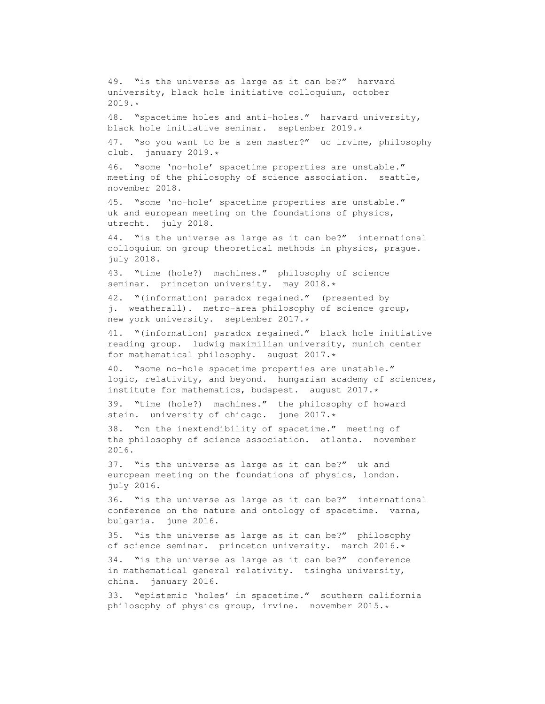49. "is the universe as large as it can be?" harvard university, black hole initiative colloquium, october 2019.\* 48. "spacetime holes and anti-holes." harvard university, black hole initiative seminar. september 2019.\* 47. "so you want to be a zen master?" uc irvine, philosophy club. january 2019.\* 46. "some 'no-hole' spacetime properties are unstable." meeting of the philosophy of science association. seattle, november 2018. 45. "some 'no-hole' spacetime properties are unstable." uk and european meeting on the foundations of physics, utrecht. july 2018. 44. "is the universe as large as it can be?" international colloquium on group theoretical methods in physics, prague. july 2018. 43. "time (hole?) machines." philosophy of science seminar. princeton university. may 2018.\* 42. "(information) paradox regained." (presented by j. weatherall). metro-area philosophy of science group, new york university. september 2017.\* 41. "(information) paradox regained." black hole initiative reading group. ludwig maximilian university, munich center for mathematical philosophy. august 2017.\* 40. "some no-hole spacetime properties are unstable." logic, relativity, and beyond. hungarian academy of sciences, institute for mathematics, budapest. august 2017.\* 39. "time (hole?) machines." the philosophy of howard stein. university of chicago. june 2017.\* 38. "on the inextendibility of spacetime." meeting of the philosophy of science association. atlanta. november 2016. 37. "is the universe as large as it can be?" uk and european meeting on the foundations of physics, london. july 2016. 36. "is the universe as large as it can be?" international conference on the nature and ontology of spacetime. varna, bulgaria. june 2016. 35. "is the universe as large as it can be?" philosophy of science seminar. princeton university. march 2016.\* 34. "is the universe as large as it can be?" conference in mathematical general relativity. tsingha university, china. january 2016. 33. "epistemic 'holes' in spacetime." southern california philosophy of physics group, irvine. november 2015.\*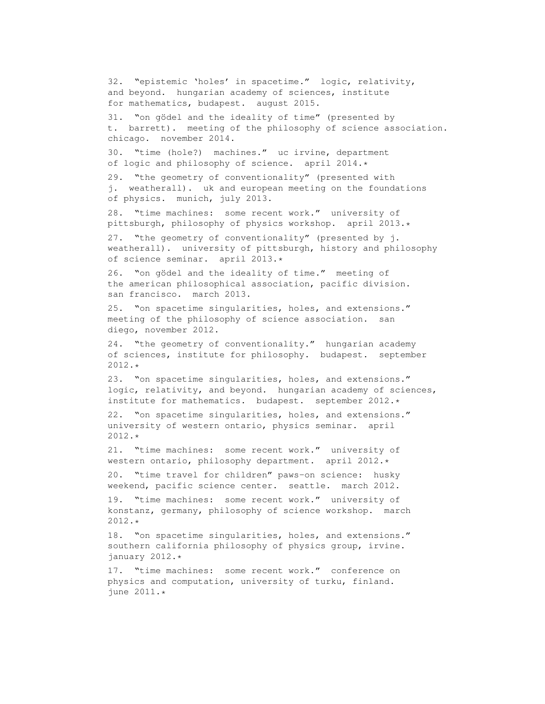32. "epistemic 'holes' in spacetime." logic, relativity, and beyond. hungarian academy of sciences, institute for mathematics, budapest. august 2015. 31. "on gödel and the ideality of time" (presented by t. barrett). meeting of the philosophy of science association. chicago. november 2014. 30. "time (hole?) machines." uc irvine, department of logic and philosophy of science. april 2014.\* 29. "the geometry of conventionality" (presented with j. weatherall). uk and european meeting on the foundations of physics. munich, july 2013. 28. "time machines: some recent work." university of pittsburgh, philosophy of physics workshop. april 2013.\* 27. "the geometry of conventionality" (presented by j. weatherall). university of pittsburgh, history and philosophy of science seminar. april 2013.\* 26. "on gödel and the ideality of time." meeting of the american philosophical association, pacific division. san francisco. march 2013. 25. "on spacetime singularities, holes, and extensions." meeting of the philosophy of science association. san diego, november 2012. 24. "the geometry of conventionality." hungarian academy of sciences, institute for philosophy. budapest. september 2012.\* 23. "on spacetime singularities, holes, and extensions." logic, relativity, and beyond. hungarian academy of sciences, institute for mathematics. budapest. september 2012.\* 22. "on spacetime singularities, holes, and extensions." university of western ontario, physics seminar. april 2012.\* 21. "time machines: some recent work." university of western ontario, philosophy department. april 2012.\* 20. "time travel for children" paws-on science: husky weekend, pacific science center. seattle. march 2012. 19. "time machines: some recent work." university of konstanz, germany, philosophy of science workshop. march 2012.\* 18. "on spacetime singularities, holes, and extensions." southern california philosophy of physics group, irvine. january 2012.\* 17. "time machines: some recent work." conference on

physics and computation, university of turku, finland. june 2011.\*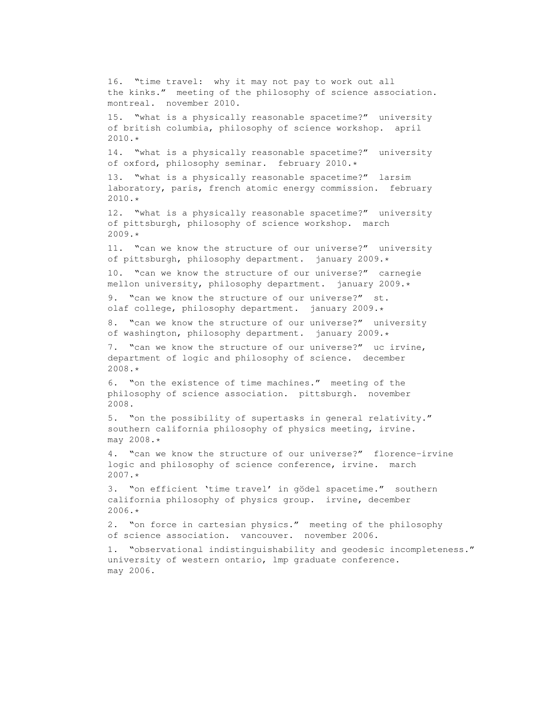16. "time travel: why it may not pay to work out all the kinks." meeting of the philosophy of science association. montreal. november 2010. 15. "what is a physically reasonable spacetime?" university of british columbia, philosophy of science workshop. april 2010.\* 14. "what is a physically reasonable spacetime?" university of oxford, philosophy seminar. february 2010.\* 13. "what is a physically reasonable spacetime?" larsim laboratory, paris, french atomic energy commission. february 2010.\* 12. "what is a physically reasonable spacetime?" university of pittsburgh, philosophy of science workshop. march 2009.\* 11. "can we know the structure of our universe?" university of pittsburgh, philosophy department. january 2009.\* 10. "can we know the structure of our universe?" carnegie mellon university, philosophy department. january 2009.\* 9. "can we know the structure of our universe?" st. olaf college, philosophy department. january 2009.\* 8. "can we know the structure of our universe?" university of washington, philosophy department. january 2009.\* 7. "can we know the structure of our universe?" uc irvine, department of logic and philosophy of science. december 2008.\* 6. "on the existence of time machines." meeting of the philosophy of science association. pittsburgh. november 2008. 5. "on the possibility of supertasks in general relativity." southern california philosophy of physics meeting, irvine. may 2008.\* 4. "can we know the structure of our universe?" florence-irvine logic and philosophy of science conference, irvine. march 2007.\* 3. "on efficient 'time travel' in gödel spacetime." southern california philosophy of physics group. irvine, december 2006.\* 2. "on force in cartesian physics." meeting of the philosophy of science association. vancouver. november 2006. 1. "observational indistinguishability and geodesic incompleteness." university of western ontario, lmp graduate conference.

may 2006.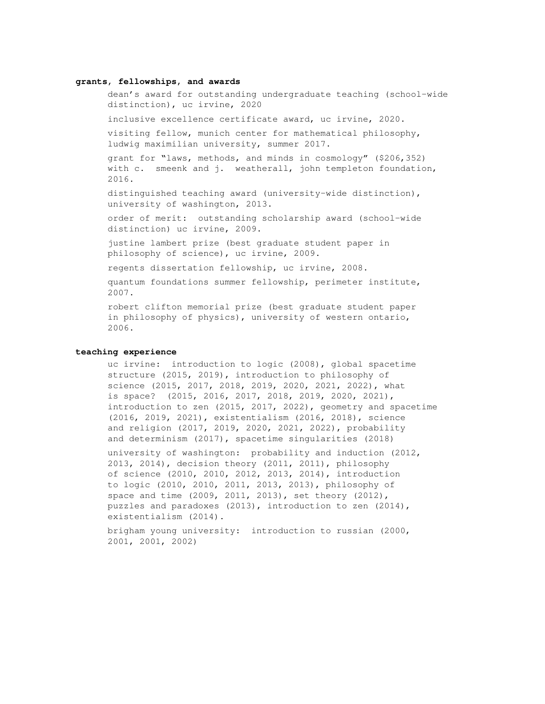#### **grants, fellowships, and awards**

dean's award for outstanding undergraduate teaching (school-wide distinction), uc irvine, 2020

inclusive excellence certificate award, uc irvine, 2020.

visiting fellow, munich center for mathematical philosophy, ludwig maximilian university, summer 2017.

grant for "laws, methods, and minds in cosmology" (\$206,352) with c. smeenk and j. weatherall, john templeton foundation, 2016.

distinguished teaching award (university-wide distinction), university of washington, 2013.

order of merit: outstanding scholarship award (school-wide distinction) uc irvine, 2009.

justine lambert prize (best graduate student paper in philosophy of science), uc irvine, 2009.

regents dissertation fellowship, uc irvine, 2008.

quantum foundations summer fellowship, perimeter institute, 2007.

robert clifton memorial prize (best graduate student paper in philosophy of physics), university of western ontario, 2006.

# **teaching experience**

uc irvine: introduction to logic (2008), global spacetime structure (2015, 2019), introduction to philosophy of science (2015, 2017, 2018, 2019, 2020, 2021, 2022), what is space? (2015, 2016, 2017, 2018, 2019, 2020, 2021), introduction to zen (2015, 2017, 2022), geometry and spacetime (2016, 2019, 2021), existentialism (2016, 2018), science and religion (2017, 2019, 2020, 2021, 2022), probability and determinism (2017), spacetime singularities (2018)

university of washington: probability and induction (2012, 2013, 2014), decision theory (2011, 2011), philosophy of science (2010, 2010, 2012, 2013, 2014), introduction to logic (2010, 2010, 2011, 2013, 2013), philosophy of space and time (2009, 2011, 2013), set theory (2012), puzzles and paradoxes (2013), introduction to zen (2014), existentialism (2014).

brigham young university: introduction to russian (2000, 2001, 2001, 2002)